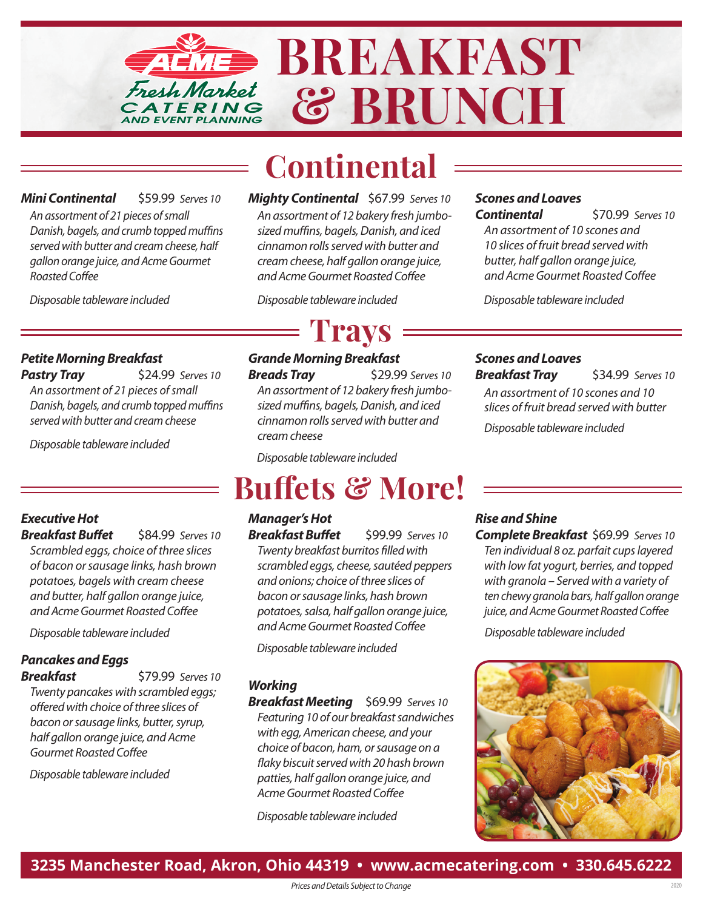

# **Continental**

*Mini Continental* \$59.99 *Serves 10 An assortment of 21 pieces of small Danish, bagels, and crumb topped muffins served with butter and cream cheese, half gallon orange juice, and Acme Gourmet Roasted Coffee*

*Disposable tableware included*

*Mighty Continental* \$67.99 *Serves 10 An assortment of 12 bakery fresh jumbosized muffins, bagels, Danish, and iced cinnamon rolls served with butter and cream cheese, half gallon orange juice, and Acme Gourmet Roasted Coffee*

# **Trays**

# *Scones and Loaves*

*Continental* \$70.99 *Serves 10 An assortment of 10 scones and 10 slices of fruit bread served with butter, half gallon orange juice, and Acme Gourmet Roasted Coffee*

*Disposable tableware included Disposable tableware included*

## *Petite Morning Breakfast*

**Pastry Tray \$24.99** *Serves 10 An assortment of 21 pieces of small Danish, bagels, and crumb topped muffins served with butter and cream cheese*

*Disposable tableware included*

## *Executive Hot* **Breakfast Buffet** \$84.99 *Serves* 10

*Scrambled eggs, choice of three slices of bacon or sausage links, hash brown potatoes, bagels with cream cheese and butter, half gallon orange juice, and Acme Gourmet Roasted Coffee*

*Disposable tableware included*

# *Pancakes and Eggs*

*Breakfast* \$79.99 *Serves 10 Twenty pancakes with scrambled eggs; offered with choice of three slices of bacon or sausage links, butter, syrup, half gallon orange juice, and Acme Gourmet Roasted Coffee*

*Disposable tableware included*

### *Grande Morning Breakfast*  **Breads Tray** \$29.99 *Serves* 10 *An assortment of 12 bakery fresh jumbosized muffins, bagels, Danish, and iced cinnamon rolls served with butter and cream cheese*

*Disposable tableware included*

# **Buffets & More!**

*Manager's Hot Breakfast Buffet* \$99.99 *Serves* 10 *Twenty breakfast burritos filled with scrambled eggs, cheese, sautéed peppers and onions; choice of three slices of bacon or sausage links, hash brown potatoes, salsa, half gallon orange juice, and Acme Gourmet Roasted Coffee*

*Disposable tableware included*

## *Working*

*Breakfast Meeting* \$69.99 *Serves 10 Featuring 10 of our breakfast sandwiches with egg, American cheese, and your choice of bacon, ham, or sausage on a flaky biscuit served with 20 hash brown patties, half gallon orange juice, and Acme Gourmet Roasted Coffee*

*Disposable tableware included*

#### *Scones and Loaves Breakfast Tray* \$34.99 *Serves 10*

*An assortment of 10 scones and 10 slices of fruit bread served with butter Disposable tableware included*

## *Rise and Shine*

*Complete Breakfast* \$69.99 *Serves 10 Ten individual 8 oz. parfait cups layered with low fat yogurt, berries, and topped with granola – Served with a variety of ten chewy granola bars, half gallon orange juice, and Acme Gourmet Roasted Coffee*

*Disposable tableware included*



**3235 Manchester Road, Akron, Ohio 44319 • www.acmecatering.com • 330.645.6222**

*Prices and Details Subject to Change*